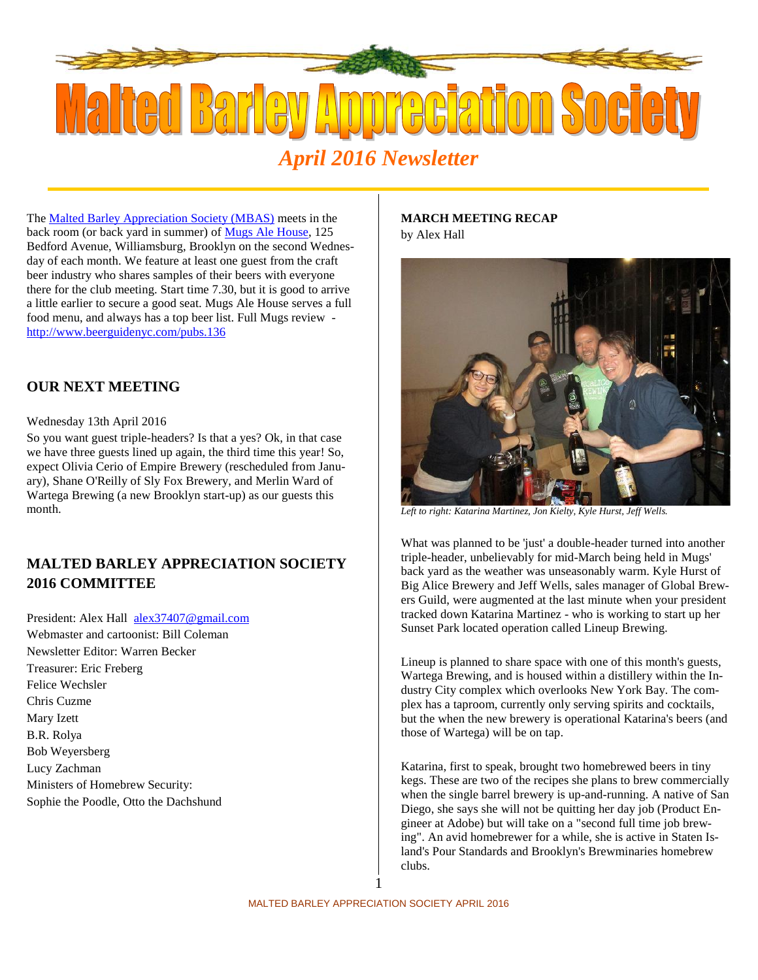

The Malted Barley Appreciation Society (MBAS) meets in the back room (or back yard in summer) of Mugs Ale House, 125 Bedford Avenue, Williamsburg, Brooklyn on the second Wednesday of each month. We feature at least one guest from the craft beer industry who shares samples of their beers with everyone there for the club meeting. Start time 7.30, but it is good to arrive a little earlier to secure a good seat. Mugs Ale House serves a full food menu, and always has a top beer list. Full Mugs review http://www.beerguidenyc.com/pubs.136

# **OUR NEXT MEETING**

### Wednesday 13th April 2016

So you want guest triple-headers? Is that a yes? Ok, in that case we have three guests lined up again, the third time this year! So, expect Olivia Cerio of Empire Brewery (rescheduled from January), Shane O'Reilly of Sly Fox Brewery, and Merlin Ward of Wartega Brewing (a new Brooklyn start-up) as our guests this month.

# **MALTED BARLEY APPRECIATION SOCIETY 2016 COMMITTEE**

President: Alex Hall alex37407@gmail.com Webmaster and cartoonist: Bill Coleman Newsletter Editor: Warren Becker Treasurer: Eric Freberg Felice Wechsler Chris Cuzme Mary Izett B.R. Rolya Bob Weyersberg Lucy Zachman Ministers of Homebrew Security: Sophie the Poodle, Otto the Dachshund

### **MARCH MEETING RECAP** by Alex Hall



*Left to right: Katarina Martinez, Jon Kielty, Kyle Hurst, Jeff Wells.*

What was planned to be 'just' a double-header turned into another triple-header, unbelievably for mid-March being held in Mugs' back yard as the weather was unseasonably warm. Kyle Hurst of Big Alice Brewery and Jeff Wells, sales manager of Global Brewers Guild, were augmented at the last minute when your president tracked down Katarina Martinez - who is working to start up her Sunset Park located operation called Lineup Brewing.

Lineup is planned to share space with one of this month's guests, Wartega Brewing, and is housed within a distillery within the Industry City complex which overlooks New York Bay. The complex has a taproom, currently only serving spirits and cocktails, but the when the new brewery is operational Katarina's beers (and those of Wartega) will be on tap.

Katarina, first to speak, brought two homebrewed beers in tiny kegs. These are two of the recipes she plans to brew commercially when the single barrel brewery is up-and-running. A native of San Diego, she says she will not be quitting her day job (Product Engineer at Adobe) but will take on a "second full time job brewing". An avid homebrewer for a while, she is active in Staten Island's Pour Standards and Brooklyn's Brewminaries homebrew clubs.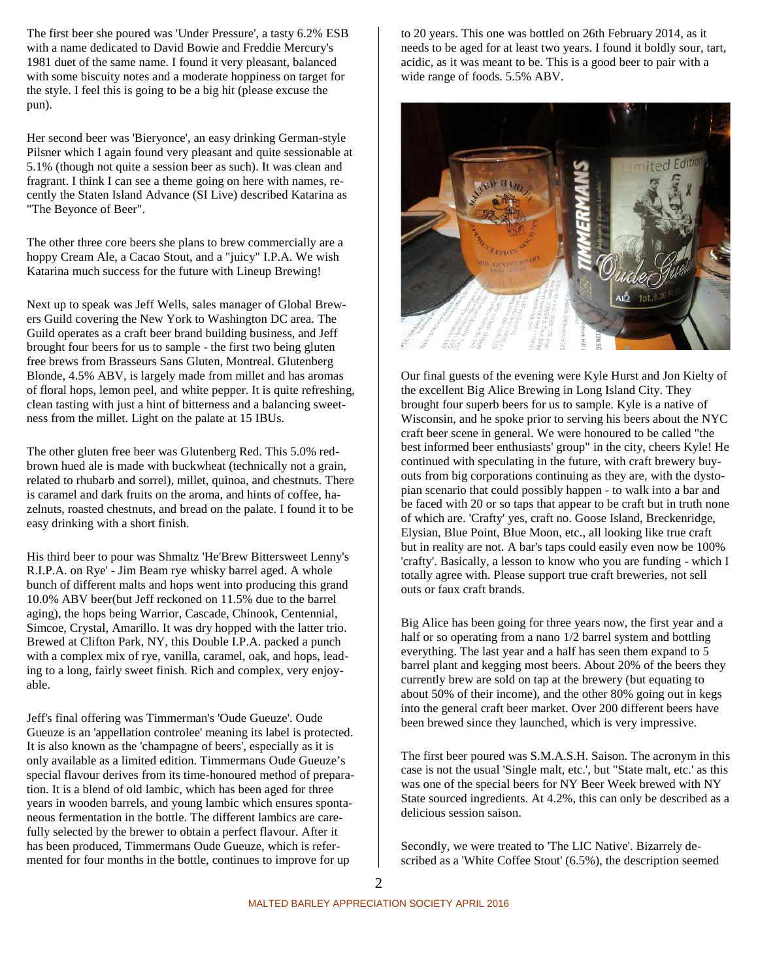The first beer she poured was 'Under Pressure', a tasty 6.2% ESB with a name dedicated to David Bowie and Freddie Mercury's 1981 duet of the same name. I found it very pleasant, balanced with some biscuity notes and a moderate hoppiness on target for the style. I feel this is going to be a big hit (please excuse the pun).

Her second beer was 'Bieryonce', an easy drinking German-style Pilsner which I again found very pleasant and quite sessionable at 5.1% (though not quite a session beer as such). It was clean and fragrant. I think I can see a theme going on here with names, recently the Staten Island Advance (SI Live) described Katarina as "The Beyonce of Beer".

The other three core beers she plans to brew commercially are a hoppy Cream Ale, a Cacao Stout, and a "juicy" I.P.A. We wish Katarina much success for the future with Lineup Brewing!

Next up to speak was Jeff Wells, sales manager of Global Brewers Guild covering the New York to Washington DC area. The Guild operates as a craft beer brand building business, and Jeff brought four beers for us to sample - the first two being gluten free brews from Brasseurs Sans Gluten, Montreal. Glutenberg Blonde, 4.5% ABV, is largely made from millet and has aromas of floral hops, lemon peel, and white pepper. It is quite refreshing, clean tasting with just a hint of bitterness and a balancing sweetness from the millet. Light on the palate at 15 IBUs.

The other gluten free beer was Glutenberg Red. This 5.0% red brown hued ale is made with buckwheat (technically not a grain, related to rhubarb and sorrel), millet, quinoa, and chestnuts. There is caramel and dark fruits on the aroma, and hints of coffee, hazelnuts, roasted chestnuts, and bread on the palate. I found it to be easy drinking with a short finish.

His third beer to pour was Shmaltz 'He'Brew Bittersweet Lenny's R.I.P.A. on Rye' - Jim Beam rye whisky barrel aged. A whole bunch of different malts and hops went into producing this grand 10.0% ABV beer(but Jeff reckoned on 11.5% due to the barrel aging), the hops being Warrior, Cascade, Chinook, Centennial, Simcoe, Crystal, Amarillo. It was dry hopped with the latter trio. Brewed at Clifton Park, NY, this Double I.P.A. packed a punch with a complex mix of rye, vanilla, caramel, oak, and hops, leading to a long, fairly sweet finish. Rich and complex, very enjoyable.

Jeff's final offering was Timmerman's 'Oude Gueuze'. Oude Gueuze is an 'appellation controlee' meaning its label is protected. It is also known as the 'champagne of beers', especially as it is only available as a limited edition. Timmermans Oude Gueuze's special flavour derives from its time-honoured method of preparation. It is a blend of old lambic, which has been aged for three years in wooden barrels, and young lambic which ensures spontaneous fermentation in the bottle. The different lambics are carefully selected by the brewer to obtain a perfect flavour. After it has been produced, Timmermans Oude Gueuze, which is refermented for four months in the bottle, continues to improve for up

to 20 years. This one was bottled on 26th February 2014, as it needs to be aged for at least two years. I found it boldly sour, tart, acidic, as it was meant to be. This is a good beer to pair with a wide range of foods. 5.5% ABV.



Our final guests of the evening were Kyle Hurst and Jon Kielty of the excellent Big Alice Brewing in Long Island City. They brought four superb beers for us to sample. Kyle is a native of Wisconsin, and he spoke prior to serving his beers about the NYC craft beer scene in general. We were honoured to be called "the best informed beer enthusiasts' group" in the city, cheers Kyle! He continued with speculating in the future, with craft brewery buy outs from big corporations continuing as they are, with the dystopian scenario that could possibly happen - to walk into a bar and be faced with 20 or so taps that appear to be craft but in truth none of which are. 'Crafty' yes, craft no. Goose Island, Breckenridge, Elysian, Blue Point, Blue Moon, etc., all looking like true craft but in reality are not. A bar's taps could easily even now be 100% 'crafty'. Basically, a lesson to know who you are funding - which I totally agree with. Please support true craft breweries, not sell outs or faux craft brands.

Big Alice has been going for three years now, the first year and a half or so operating from a nano 1/2 barrel system and bottling everything. The last year and a half has seen them expand to 5 barrel plant and kegging most beers. About 20% of the beers they currently brew are sold on tap at the brewery (but equating to about 50% of their income), and the other 80% going out in kegs into the general craft beer market. Over 200 different beers have been brewed since they launched, which is very impressive.

The first beer poured was S.M.A.S.H. Saison. The acronym in this case is not the usual 'Single malt, etc.', but "State malt, etc.' as this was one of the special beers for NY Beer Week brewed with NY State sourced ingredients. At 4.2%, this can only be described as a delicious session saison.

Secondly, we were treated to 'The LIC Native'. Bizarrely described as a 'White Coffee Stout' (6.5%), the description seemed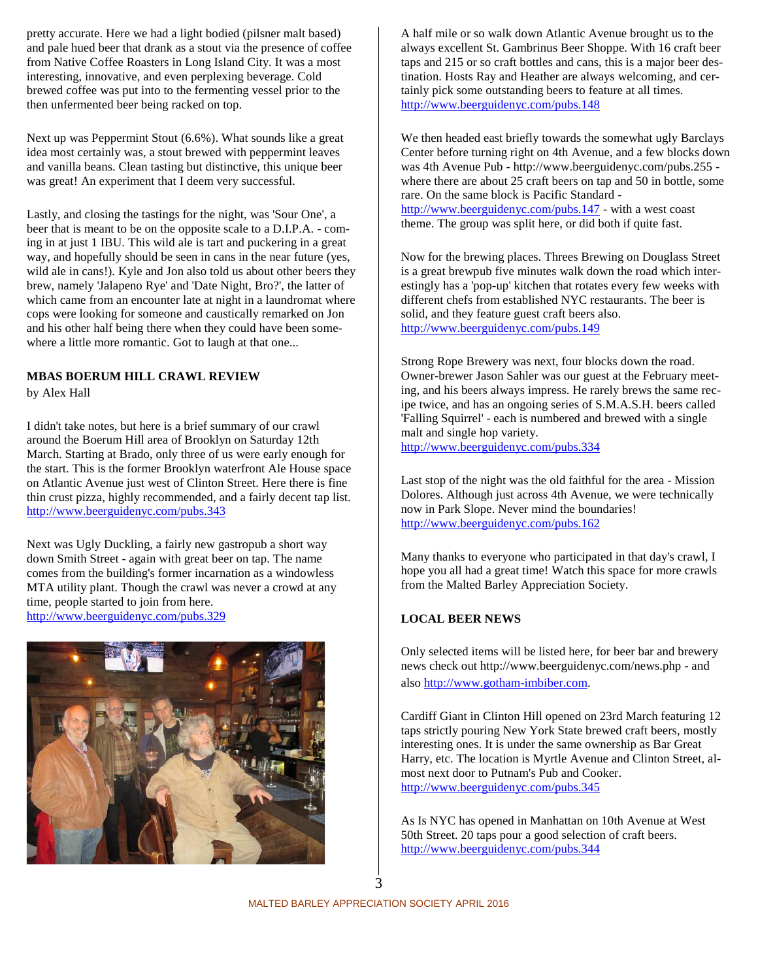pretty accurate. Here we had a light bodied (pilsner malt based) and pale hued beer that drank as a stout via the presence of coffee from Native Coffee Roasters in Long Island City. It was a most interesting, innovative, and even perplexing beverage. Cold brewed coffee was put into to the fermenting vessel prior to the then unfermented beer being racked on top.

Next up was Peppermint Stout (6.6%). What sounds like a great idea most certainly was, a stout brewed with peppermint leaves and vanilla beans. Clean tasting but distinctive, this unique beer was great! An experiment that I deem very successful.

Lastly, and closing the tastings for the night, was 'Sour One', a beer that is meant to be on the opposite scale to a D.I.P.A. - coming in at just 1 IBU. This wild ale is tart and puckering in a great way, and hopefully should be seen in cans in the near future (yes, wild ale in cans!). Kyle and Jon also told us about other beers they brew, namely 'Jalapeno Rye' and 'Date Night, Bro?', the latter of which came from an encounter late at night in a laundromat where cops were looking for someone and caustically remarked on Jon and his other half being there when they could have been somewhere a little more romantic. Got to laugh at that one...

# **MBAS BOERUM HILL CRAWL REVIEW**

by Alex Hall

I didn't take notes, but here is a brief summary of our crawl around the Boerum Hill area of Brooklyn on Saturday 12th March. Starting at Brado, only three of us were early enough for the start. This is the former Brooklyn waterfront Ale House space on Atlantic Avenue just west of Clinton Street. Here there is fine thin crust pizza, highly recommended, and a fairly decent tap list. http://www.beerguidenyc.com/pubs.343

Next was Ugly Duckling, a fairly new gastropub a short way down Smith Street - again with great beer on tap. The name comes from the building's former incarnation as a windowless MTA utility plant. Though the crawl was never a crowd at any time, people started to join from here. http://www.beerguidenyc.com/pubs.329



A half mile or so walk down Atlantic Avenue brought us to the always excellent St. Gambrinus Beer Shoppe. With 16 craft beer taps and 215 or so craft bottles and cans, this is a major beer destination. Hosts Ray and Heather are always welcoming, and certainly pick some outstanding beers to feature at all times. http://www.beerguidenyc.com/pubs.148

We then headed east briefly towards the somewhat ugly Barclays Center before turning right on 4th Avenue, and a few blocks down was 4th Avenue Pub - http://www.beerguidenyc.com/pubs.255 where there are about 25 craft beers on tap and 50 in bottle, some rare. On the same block is Pacific Standard http://www.beerguidenyc.com/pubs.147 - with a west coast theme. The group was split here, or did both if quite fast.

Now for the brewing places. Threes Brewing on Douglass Street is a great brewpub five minutes walk down the road which interestingly has a 'pop-up' kitchen that rotates every few weeks with different chefs from established NYC restaurants. The beer is solid, and they feature guest craft beers also. http://www.beerguidenyc.com/pubs.149

Strong Rope Brewery was next, four blocks down the road. Owner-brewer Jason Sahler was our guest at the February meeting, and his beers always impress. He rarely brews the same recipe twice, and has an ongoing series of S.M.A.S.H. beers called 'Falling Squirrel' - each is numbered and brewed with a single malt and single hop variety.

http://www.beerguidenyc.com/pubs.334

Last stop of the night was the old faithful for the area - Mission Dolores. Although just across 4th Avenue, we were technically now in Park Slope. Never mind the boundaries! http://www.beerguidenyc.com/pubs.162

Many thanks to everyone who participated in that day's crawl, I hope you all had a great time! Watch this space for more crawls from the Malted Barley Appreciation Society.

### **LOCAL BEER NEWS**

Only selected items will be listed here, for beer bar and brewery news check out http://www.beerguidenyc.com/news.php - and also http://www.gotham-imbiber.com.

Cardiff Giant in Clinton Hill opened on 23rd March featuring 12 taps strictly pouring New York State brewed craft beers, mostly interesting ones. It is under the same ownership as Bar Great Harry, etc. The location is Myrtle Avenue and Clinton Street, almost next door to Putnam's Pub and Cooker. http://www.beerguidenyc.com/pubs.345

As Is NYC has opened in Manhattan on 10th Avenue at West 50th Street. 20 taps pour a good selection of craft beers. http://www.beerguidenyc.com/pubs.344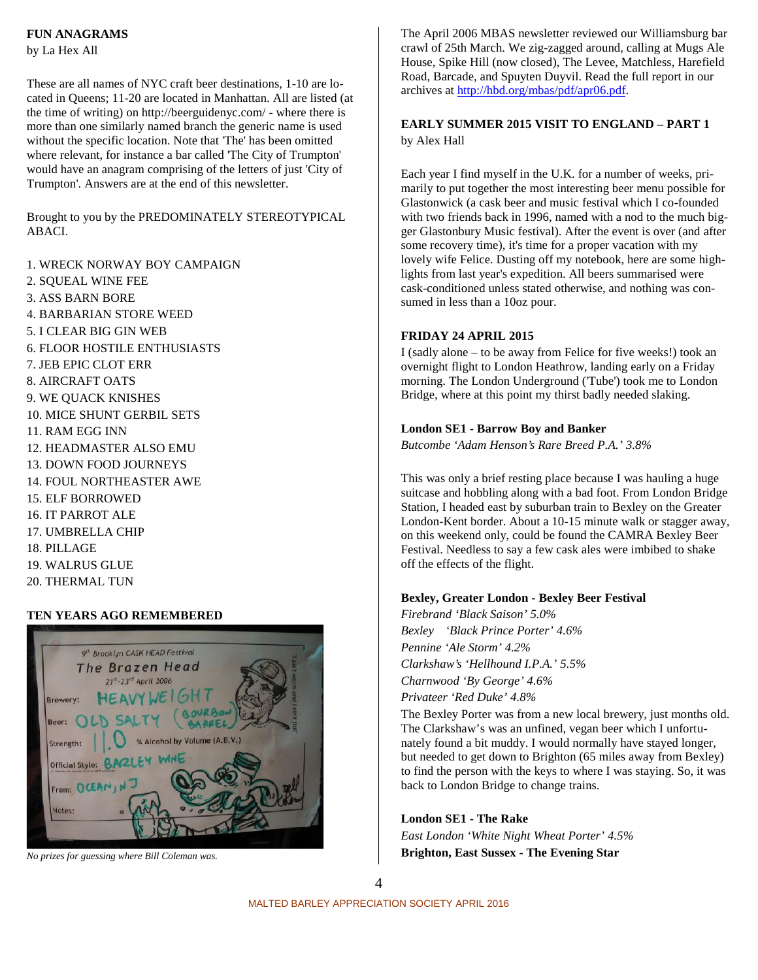### **FUN ANAGRAMS**

by La Hex All

These are all names of NYC craft beer destinations, 1-10 are located in Queens; 11-20 are located in Manhattan. All are listed (at the time of writing) on http://beerguidenyc.com/ - where there is more than one similarly named branch the generic name is used without the specific location. Note that 'The' has been omitted where relevant, for instance a bar called 'The City of Trumpton' would have an anagram comprising of the letters of just 'City of Trumpton'. Answers are at the end of this newsletter.

Brought to you by the PREDOMINATELY STEREOTYPICAL ABACI.

- 1. WRECK NORWAY BOY CAMPAIGN
- 2. SQUEAL WINE FEE 3. ASS BARN BORE 4. BARBARIAN STORE WEED 5. I CLEAR BIG GIN WEB 6. FLOOR HOSTILE ENTHUSIASTS 7. JEB EPIC CLOT ERR 8. AIRCRAFT OATS 9. WE QUACK KNISHES 10. MICE SHUNT GERBIL SETS 11. RAM EGG INN 12. HEADMASTER ALSO EMU 13. DOWN FOOD JOURNEYS 14. FOUL NORTHEASTER AWE 15. ELF BORROWED 16. IT PARROT ALE 17. UMBRELLA CHIP 18. PILLAGE 19. WALRUS GLUE 20. THERMAL TUN

### **TEN YEARS AGO REMEMBERED**



*No prizes for guessing where Bill Coleman was.*

The April 2006 MBAS newsletter reviewed our Williamsburg bar crawl of 25th March. We zig-zagged around, calling at Mugs Ale House, Spike Hill (now closed), The Levee, Matchless, Harefield Road, Barcade, and Spuyten Duyvil. Read the full report in our archives at http://hbd.org/mbas/pdf/apr06.pdf.

### **EARLY SUMMER 2015 VISIT TO ENGLAND – PART 1** by Alex Hall

Each year I find myself in the U.K. for a number of weeks, primarily to put together the most interesting beer menu possible for Glastonwick (a cask beer and music festival which I co-founded with two friends back in 1996, named with a nod to the much bigger Glastonbury Music festival). After the event is over (and after some recovery time), it's time for a proper vacation with my lovely wife Felice. Dusting off my notebook, here are some highlights from last year's expedition. All beers summarised were cask-conditioned unless stated otherwise, and nothing was consumed in less than a 10oz pour.

### **FRIDAY 24 APRIL 2015**

I (sadly alone – to be away from Felice for five weeks!) took an overnight flight to London Heathrow, landing early on a Friday morning. The London Underground ('Tube') took me to London Bridge, where at this point my thirst badly needed slaking.

### **London SE1 - Barrow Boy and Banker**

*Butcombe 'Adam Henson's Rare Breed P.A.' 3.8%*

This was only a brief resting place because I was hauling a huge suitcase and hobbling along with a bad foot. From London Bridge Station, I headed east by suburban train to Bexley on the Greater London-Kent border. About a 10-15 minute walk or stagger away, on this weekend only, could be found the CAMRA Bexley Beer Festival. Needless to say a few cask ales were imbibed to shake off the effects of the flight.

### **Bexley, Greater London - Bexley Beer Festival**

*Firebrand 'Black Saison' 5.0% Bexley 'Black Prince Porter' 4.6% Pennine 'Ale Storm' 4.2% Clarkshaw's 'Hellhound I.P.A.' 5.5% Charnwood 'By George' 4.6% Privateer 'Red Duke' 4.8%*

The Bexley Porter was from a new local brewery, just months old. The Clarkshaw's was an unfined, vegan beer which I unfortunately found a bit muddy. I would normally have stayed longer, but needed to get down to Brighton (65 miles away from Bexley) to find the person with the keys to where I was staying. So, it was back to London Bridge to change trains.

#### **London SE1 - The Rake**

*East London 'White Night Wheat Porter' 4.5%* **Brighton, East Sussex - The Evening Star**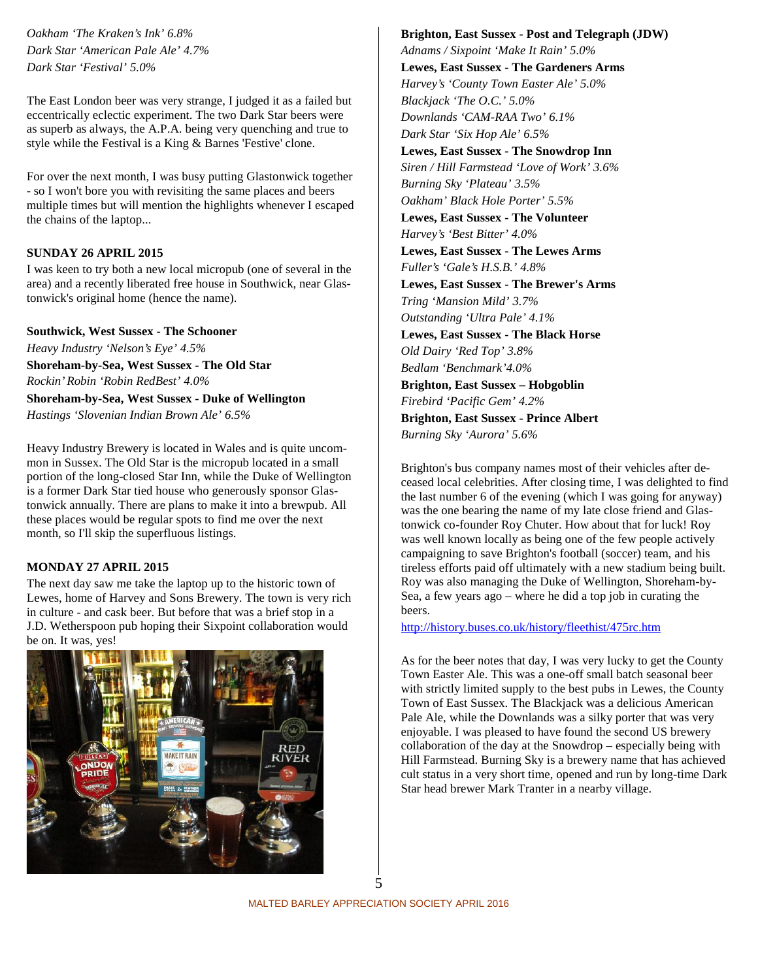*Oakham 'The Kraken's Ink' 6.8% Dark Star 'American Pale Ale' 4.7% Dark Star 'Festival' 5.0%*

The East London beer was very strange, I judged it as a failed but eccentrically eclectic experiment. The two Dark Star beers were as superb as always, the A.P.A. being very quenching and true to style while the Festival is a King & Barnes 'Festive' clone.

For over the next month, I was busy putting Glastonwick together - so I won't bore you with revisiting the same places and beers multiple times but will mention the highlights whenever I escaped the chains of the laptop...

### **SUNDAY 26 APRIL 2015**

I was keen to try both a new local micropub (one of several in the area) and a recently liberated free house in Southwick, near Glastonwick's original home (hence the name).

#### **Southwick, West Sussex - The Schooner**

*Heavy Industry 'Nelson's Eye' 4.5%* **Shoreham-by-Sea, West Sussex - The Old Star** *Rockin' Robin 'Robin RedBest' 4.0%*

**Shoreham-by-Sea, West Sussex - Duke of Wellington** *Hastings 'Slovenian Indian Brown Ale' 6.5%*

Heavy Industry Brewery is located in Wales and is quite uncommon in Sussex. The Old Star is the micropub located in a small portion of the long-closed Star Inn, while the Duke of Wellington is a former Dark Star tied house who generously sponsor Glastonwick annually. There are plans to make it into a brewpub. All these places would be regular spots to find me over the next month, so I'll skip the superfluous listings.

### **MONDAY 27 APRIL 2015**

The next day saw me take the laptop up to the historic town of Lewes, home of Harvey and Sons Brewery. The town is very rich in culture - and cask beer. But before that was a brief stop in a J.D. Wetherspoon pub hoping their Sixpoint collaboration would be on. It was, yes!



# **Brighton, East Sussex - Post and Telegraph (JDW)**

*Adnams / Sixpoint 'Make It Rain' 5.0%* **Lewes, East Sussex - The Gardeners Arms** *Harvey's 'County Town Easter Ale' 5.0% Blackjack 'The O.C.' 5.0% Downlands 'CAM-RAA Two' 6.1% Dark Star 'Six Hop Ale' 6.5%* **Lewes, East Sussex - The Snowdrop Inn** *Siren / Hill Farmstead 'Love of Work' 3.6% Burning Sky 'Plateau' 3.5% Oakham' Black Hole Porter' 5.5%* **Lewes, East Sussex - The Volunteer** *Harvey's 'Best Bitter' 4.0%* **Lewes, East Sussex - The Lewes Arms** *Fuller's 'Gale's H.S.B.' 4.8%* **Lewes, East Sussex - The Brewer's Arms** *Tring 'Mansion Mild' 3.7% Outstanding 'Ultra Pale' 4.1%* **Lewes, East Sussex - The Black Horse** *Old Dairy 'Red Top' 3.8% Bedlam 'Benchmark'4.0%* **Brighton, East Sussex – Hobgoblin** *Firebird 'Pacific Gem' 4.2%* **Brighton, East Sussex - Prince Albert** *Burning Sky 'Aurora' 5.6%*

Brighton's bus company names most of their vehicles after deceased local celebrities. After closing time, I was delighted to find the last number 6 of the evening (which I was going for anyway) was the one bearing the name of my late close friend and Glastonwick co-founder Roy Chuter. How about that for luck! Roy was well known locally as being one of the few people actively campaigning to save Brighton's football (soccer) team, and his tireless efforts paid off ultimately with a new stadium being built. Roy was also managing the Duke of Wellington, Shoreham-by- Sea, a few years ago – where he did a top job in curating the beers.

http://history.buses.co.uk/history/fleethist/475rc.htm

As for the beer notes that day, I was very lucky to get the County Town Easter Ale. This was a one-off small batch seasonal beer with strictly limited supply to the best pubs in Lewes, the County Town of East Sussex. The Blackjack was a delicious American Pale Ale, while the Downlands was a silky porter that was very enjoyable. I was pleased to have found the second US brewery collaboration of the day at the Snowdrop – especially being with Hill Farmstead. Burning Sky is a brewery name that has achieved cult status in a very short time, opened and run by long-time Dark Star head brewer Mark Tranter in a nearby village.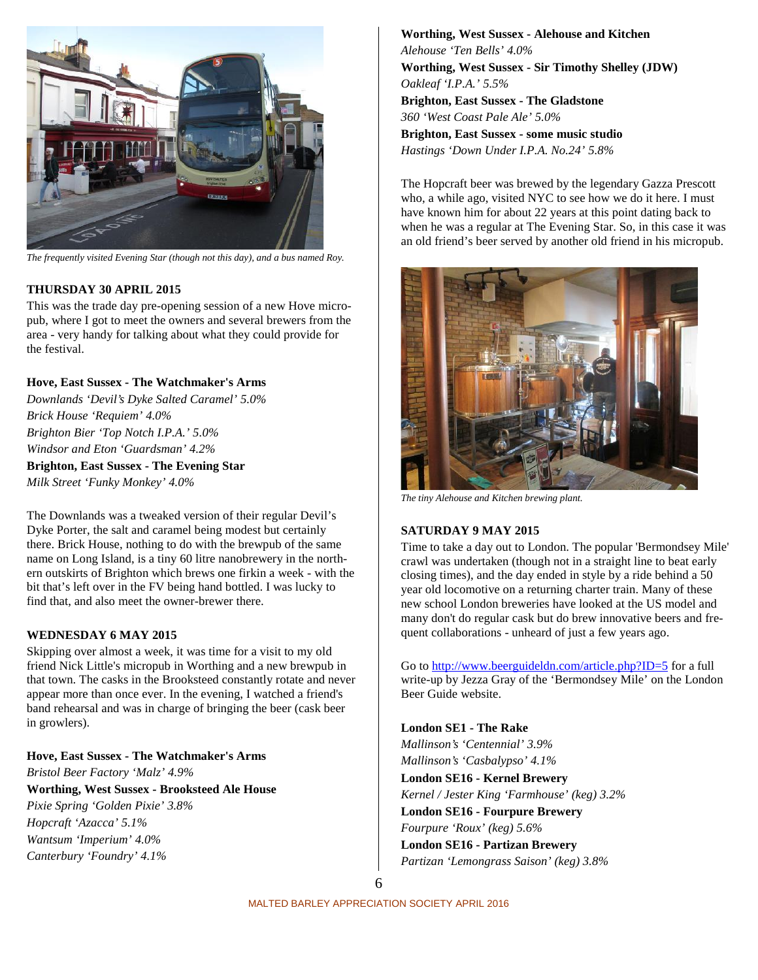

*The frequently visited Evening Star (though not this day), and a bus named Roy.*

### **THURSDAY 30 APRIL 2015**

This was the trade day pre-opening session of a new Hove micropub, where I got to meet the owners and several brewers from the area - very handy for talking about what they could provide for the festival.

### **Hove, East Sussex - The Watchmaker's Arms**

*Downlands 'Devil's Dyke Salted Caramel' 5.0% Brick House 'Requiem' 4.0% Brighton Bier 'Top Notch I.P.A.' 5.0% Windsor and Eton 'Guardsman' 4.2%*

**Brighton, East Sussex - The Evening Star** *Milk Street 'Funky Monkey' 4.0%*

The Downlands was a tweaked version of their regular Devil's Dyke Porter, the salt and caramel being modest but certainly there. Brick House, nothing to do with the brewpub of the same name on Long Island, is a tiny 60 litre nanobrewery in the northern outskirts of Brighton which brews one firkin a week - with the bit that's left over in the FV being hand bottled. I was lucky to find that, and also meet the owner-brewer there.

### **WEDNESDAY 6 MAY 2015**

Skipping over almost a week, it was time for a visit to my old friend Nick Little's micropub in Worthing and a new brewpub in that town. The casks in the Brooksteed constantly rotate and never appear more than once ever. In the evening, I watched a friend's band rehearsal and was in charge of bringing the beer (cask beer in growlers).

**Hove, East Sussex - The Watchmaker's Arms** *Bristol Beer Factory 'Malz' 4.9%* **Worthing, West Sussex - Brooksteed Ale House** *Pixie Spring 'Golden Pixie' 3.8% Hopcraft 'Azacca' 5.1% Wantsum 'Imperium' 4.0% Canterbury 'Foundry' 4.1%*

**Worthing, West Sussex - Alehouse and Kitchen** *Alehouse 'Ten Bells' 4.0%* **Worthing, West Sussex - Sir Timothy Shelley (JDW)** *Oakleaf 'I.P.A.' 5.5%* **Brighton, East Sussex - The Gladstone** *360 'West Coast Pale Ale' 5.0%* **Brighton, East Sussex - some music studio** *Hastings 'Down Under I.P.A. No.24' 5.8%*

The Hopcraft beer was brewed by the legendary Gazza Prescott who, a while ago, visited NYC to see how we do it here. I must have known him for about 22 years at this point dating back to when he was a regular at The Evening Star. So, in this case it was an old friend's beer served by another old friend in his micropub.



*The tiny Alehouse and Kitchen brewing plant.*

### **SATURDAY 9 MAY 2015**

Time to take a day out to London. The popular 'Bermondsey Mile' crawl was undertaken (though not in a straight line to beat early closing times), and the day ended in style by a ride behind a 50 year old locomotive on a returning charter train. Many of these new school London breweries have looked at the US model and many don't do regular cask but do brew innovative beers and frequent collaborations - unheard of just a few years ago.

Go to http://www.beerguideldn.com/article.php?ID=5 for a full write-up by Jezza Gray of the 'Bermondsey Mile' on the London Beer Guide website.

**London SE1 - The Rake** *Mallinson's 'Centennial' 3.9% Mallinson's 'Casbalypso' 4.1%* **London SE16 - Kernel Brewery** *Kernel / Jester King 'Farmhouse' (keg) 3.2%* **London SE16 - Fourpure Brewery** *Fourpure 'Roux' (keg) 5.6%* **London SE16 - Partizan Brewery** *Partizan 'Lemongrass Saison' (keg) 3.8%*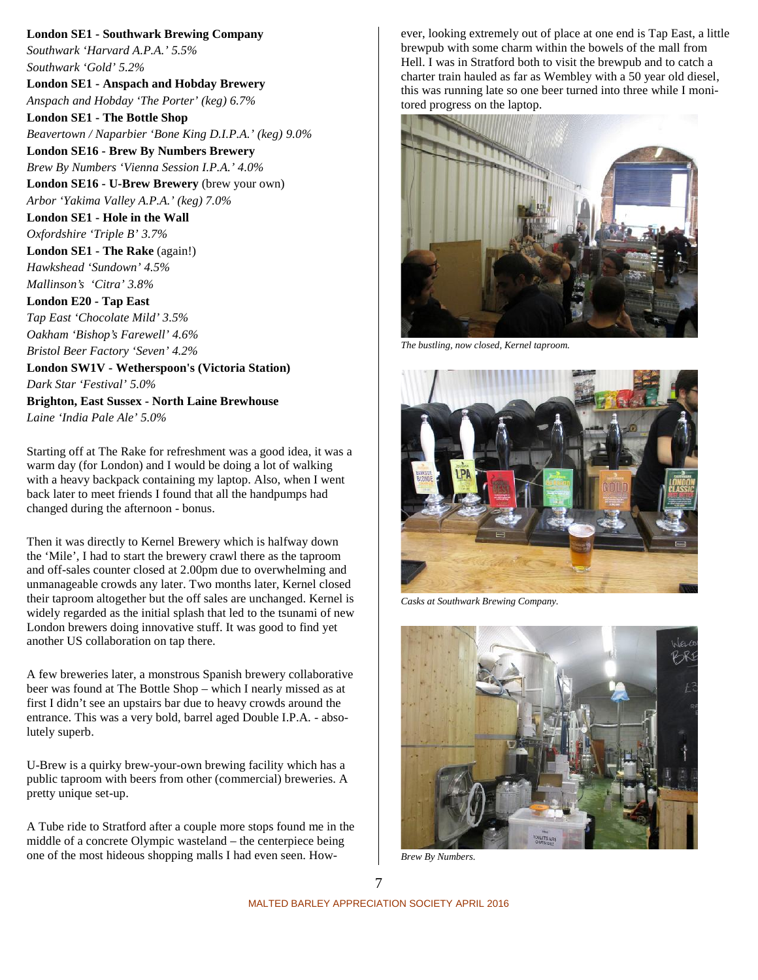**London SE1 - Southwark Brewing Company** *Southwark 'Harvard A.P.A.' 5.5% Southwark 'Gold' 5.2%* **London SE1 - Anspach and Hobday Brewery** *Anspach and Hobday 'The Porter' (keg) 6.7%* **London SE1 - The Bottle Shop** *Beavertown / Naparbier 'Bone King D.I.P.A.' (keg) 9.0%* **London SE16 - Brew By Numbers Brewery** *Brew By Numbers 'Vienna Session I.P.A.' 4.0%* **London SE16 - U-Brew Brewery** (brew your own) *Arbor 'Yakima Valley A.P.A.' (keg) 7.0%* **London SE1 - Hole in the Wall** *Oxfordshire 'Triple B' 3.7%* **London SE1 - The Rake** (again!) *Hawkshead 'Sundown' 4.5% Mallinson's 'Citra' 3.8%* **London E20 - Tap East** *Tap East 'Chocolate Mild' 3.5% Oakham 'Bishop's Farewell' 4.6% Bristol Beer Factory 'Seven' 4.2%* **London SW1V - Wetherspoon's (Victoria Station)** *Dark Star 'Festival' 5.0%* **Brighton, East Sussex - North Laine Brewhouse** *Laine 'India Pale Ale' 5.0%*

Starting off at The Rake for refreshment was a good idea, it was a warm day (for London) and I would be doing a lot of walking with a heavy backpack containing my laptop. Also, when I went back later to meet friends I found that all the handpumps had changed during the afternoon - bonus.

Then it was directly to Kernel Brewery which is halfway down the 'Mile', I had to start the brewery crawl there as the taproom and off-sales counter closed at 2.00pm due to overwhelming and unmanageable crowds any later. Two months later, Kernel closed their taproom altogether but the off sales are unchanged. Kernel is widely regarded as the initial splash that led to the tsunami of new London brewers doing innovative stuff. It was good to find yet another US collaboration on tap there.

A few breweries later, a monstrous Spanish brewery collaborative beer was found at The Bottle Shop – which I nearly missed as at first I didn't see an upstairs bar due to heavy crowds around the entrance. This was a very bold, barrel aged Double I.P.A. - absolutely superb.

U-Brew is a quirky brew-your-own brewing facility which has a public taproom with beers from other (commercial) breweries. A pretty unique set-up.

A Tube ride to Stratford after a couple more stops found me in the middle of a concrete Olympic wasteland – the centerpiece being one of the most hideous shopping malls I had even seen. However, looking extremely out of place at one end is Tap East, a little brewpub with some charm within the bowels of the mall from Hell. I was in Stratford both to visit the brewpub and to catch a charter train hauled as far as Wembley with a 50 year old diesel, this was running late so one beer turned into three while I monitored progress on the laptop.



*The bustling, now closed, Kernel taproom.*



*Casks at Southwark Brewing Company.*



*Brew By Numbers.*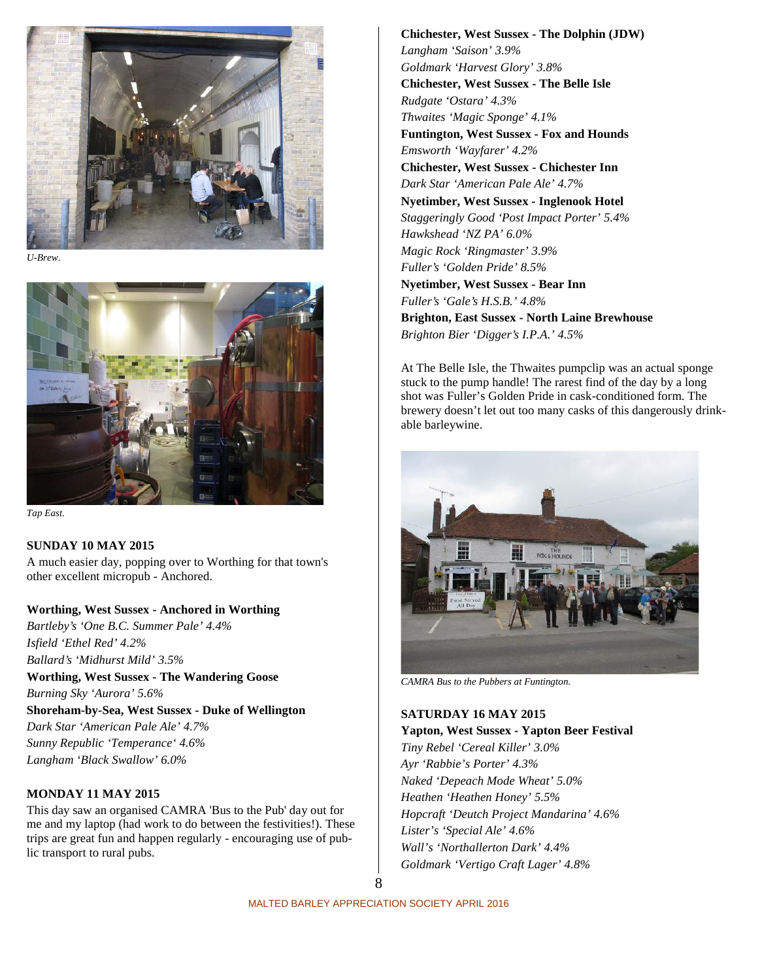

*U-Brew.*



*Tap East.*

### **SUNDAY 10 MAY 2015**

A much easier day, popping over to Worthing for that town's other excellent micropub - Anchored.

### **Worthing, West Sussex - Anchored in Worthing**

*Bartleby's 'One B.C. Summer Pale' 4.4% Isfield 'Ethel Red' 4.2% Ballard's 'Midhurst Mild' 3.5%*

**Worthing, West Sussex - The Wandering Goose** *Burning Sky 'Aurora' 5.6%*

**Shoreham-by-Sea, West Sussex - Duke of Wellington** *Dark Star 'American Pale Ale' 4.7% Sunny Republic 'Temperance' 4.6% Langham 'Black Swallow' 6.0%*

### **MONDAY 11 MAY 2015**

This day saw an organised CAMRA 'Bus to the Pub' day out for me and my laptop (had work to do between the festivities!). These trips are great fun and happen regularly - encouraging use of public transport to rural pubs.

**Chichester, West Sussex - The Dolphin (JDW)** *Langham 'Saison' 3.9% Goldmark 'Harvest Glory' 3.8%* **Chichester, West Sussex - The Belle Isle** *Rudgate 'Ostara' 4.3% Thwaites 'Magic Sponge' 4.1%* **Funtington, West Sussex - Fox and Hounds** *Emsworth 'Wayfarer' 4.2%* **Chichester, West Sussex - Chichester Inn** *Dark Star 'American Pale Ale' 4.7%* **Nyetimber, West Sussex - Inglenook Hotel** *Staggeringly Good 'Post Impact Porter' 5.4% Hawkshead 'NZ PA' 6.0% Magic Rock 'Ringmaster' 3.9% Fuller's 'Golden Pride' 8.5%* **Nyetimber, West Sussex - Bear Inn** *Fuller's 'Gale's H.S.B.' 4.8%* **Brighton, East Sussex - North Laine Brewhouse** *Brighton Bier 'Digger's I.P.A.' 4.5%*

At The Belle Isle, the Thwaites pumpclip was an actual sponge stuck to the pump handle! The rarest find of the day by a long shot was Fuller's Golden Pride in cask-conditioned form. The brewery doesn't let out too many casks of this dangerously drinkable barleywine.



*CAMRA Bus to the Pubbers at Funtington.*

# **SATURDAY 16 MAY 2015**

**Yapton, West Sussex - Yapton Beer Festival** *Tiny Rebel 'Cereal Killer' 3.0% Ayr 'Rabbie's Porter' 4.3% Naked 'Depeach Mode Wheat' 5.0% Heathen 'Heathen Honey' 5.5% Hopcraft 'Deutch Project Mandarina' 4.6% Lister's 'Special Ale' 4.6% Wall's 'Northallerton Dark' 4.4% Goldmark 'Vertigo Craft Lager' 4.8%*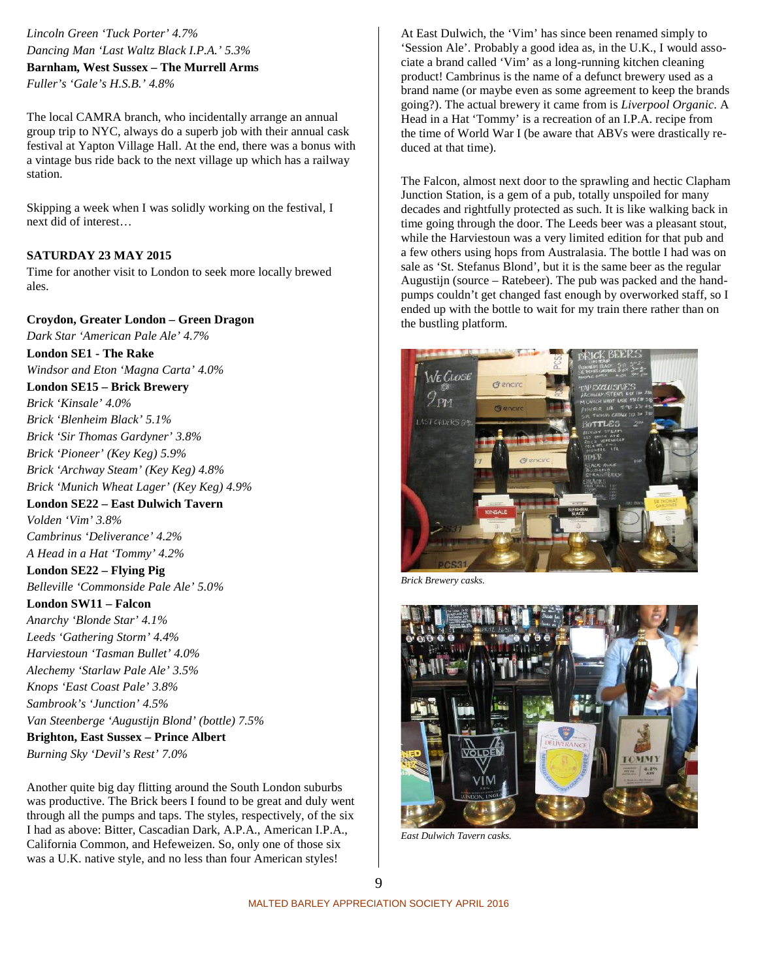*Lincoln Green 'Tuck Porter' 4.7% Dancing Man 'Last Waltz Black I.P.A.' 5.3%* **Barnham, West Sussex – The Murrell Arms** *Fuller's 'Gale's H.S.B.' 4.8%*

The local CAMRA branch, who incidentally arrange an annual group trip to NYC, always do a superb job with their annual cask festival at Yapton Village Hall. At the end, there was a bonus with a vintage bus ride back to the next village up which has a railway station.

Skipping a week when I was solidly working on the festival, I next did of interest…

### **SATURDAY 23 MAY 2015**

Time for another visit to London to seek more locally brewed ales.

**Croydon, Greater London – Green Dragon**

*Dark Star 'American Pale Ale' 4.7%* **London SE1 - The Rake** *Windsor and Eton 'Magna Carta' 4.0%* **London SE15 – Brick Brewery** *Brick 'Kinsale' 4.0% Brick 'Blenheim Black' 5.1% Brick 'Sir Thomas Gardyner' 3.8% Brick 'Pioneer' (Key Keg) 5.9% Brick 'Archway Steam' (Key Keg) 4.8% Brick 'Munich Wheat Lager' (Key Keg) 4.9%* **London SE22 – East Dulwich Tavern** *Volden 'Vim' 3.8% Cambrinus 'Deliverance' 4.2% A Head in a Hat 'Tommy' 4.2%* **London SE22 – Flying Pig** *Belleville 'Commonside Pale Ale' 5.0%* **London SW11 – Falcon** *Anarchy 'Blonde Star' 4.1% Leeds 'Gathering Storm' 4.4% Harviestoun 'Tasman Bullet' 4.0% Alechemy 'Starlaw Pale Ale' 3.5% Knops 'East Coast Pale' 3.8% Sambrook's 'Junction' 4.5% Van Steenberge 'Augustijn Blond' (bottle) 7.5%* **Brighton, East Sussex – Prince Albert** *Burning Sky 'Devil's Rest' 7.0%*

Another quite big day flitting around the South London suburbs was productive. The Brick beers I found to be great and duly went through all the pumps and taps. The styles, respectively, of the six I had as above: Bitter, Cascadian Dark, A.P.A., American I.P.A., California Common, and Hefeweizen. So, only one of those six was a U.K. native style, and no less than four American styles!

At East Dulwich, the 'Vim' has since been renamed simply to 'Session Ale'. Probably a good idea as, in the U.K., I would associate a brand called 'Vim' as a long-running kitchen cleaning product! Cambrinus is the name of a defunct brewery used as a brand name (or maybe even as some agreement to keep the brands going?). The actual brewery it came from is *Liverpool Organic*. A Head in a Hat 'Tommy' is a recreation of an I.P.A. recipe from the time of World War I (be aware that ABVs were drastically reduced at that time).

The Falcon, almost next door to the sprawling and hectic Clapham Junction Station, is a gem of a pub, totally unspoiled for many decades and rightfully protected as such. It is like walking back in time going through the door. The Leeds beer was a pleasant stout, while the Harviestoun was a very limited edition for that pub and a few others using hops from Australasia. The bottle I had was on sale as 'St. Stefanus Blond', but it is the same beer as the regular Augustijn (source – Ratebeer). The pub was packed and the handpumps couldn't get changed fast enough by overworked staff, so I ended up with the bottle to wait for my train there rather than on the bustling platform.



*Brick Brewery casks.*



*East Dulwich Tavern casks.*